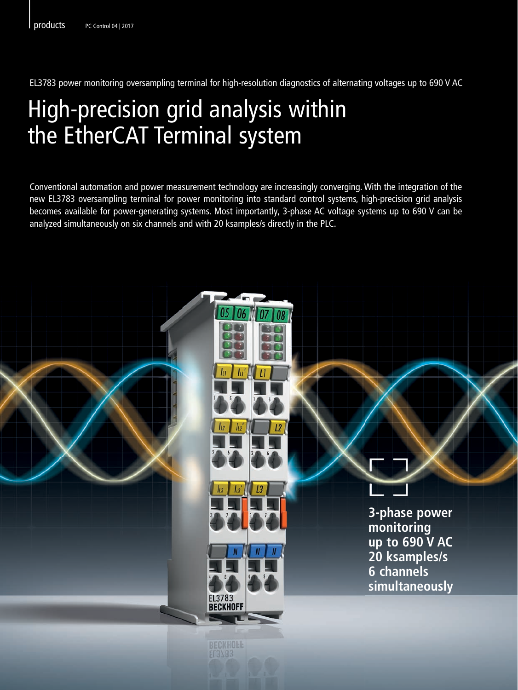EL3783 power monitoring oversampling terminal for high-resolution diagnostics of alternating voltages up to 690 V AC

## High-precision grid analysis within the EtherCAT Terminal system

Conventional automation and power measurement technology are increasingly converging. With the integration of the new EL3783 oversampling terminal for power monitoring into standard control systems, high-precision grid analysis becomes available for power-generating systems. Most importantly, 3-phase AC voltage systems up to 690 V can be analyzed simultaneously on six channels and with 20 ksamples/s directly in the PLC.